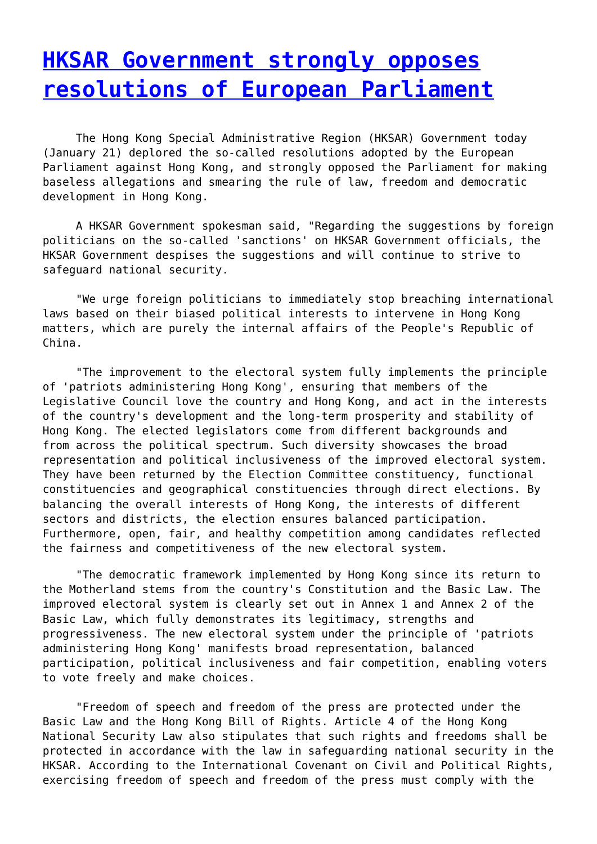## **[HKSAR Government strongly opposes](http://www.government-world.com/hksar-government-strongly-opposes-resolutions-of-european-parliament/) [resolutions of European Parliament](http://www.government-world.com/hksar-government-strongly-opposes-resolutions-of-european-parliament/)**

 The Hong Kong Special Administrative Region (HKSAR) Government today (January 21) deplored the so-called resolutions adopted by the European Parliament against Hong Kong, and strongly opposed the Parliament for making baseless allegations and smearing the rule of law, freedom and democratic development in Hong Kong.

 A HKSAR Government spokesman said, "Regarding the suggestions by foreign politicians on the so-called 'sanctions' on HKSAR Government officials, the HKSAR Government despises the suggestions and will continue to strive to safeguard national security.

 "We urge foreign politicians to immediately stop breaching international laws based on their biased political interests to intervene in Hong Kong matters, which are purely the internal affairs of the People's Republic of China.

 "The improvement to the electoral system fully implements the principle of 'patriots administering Hong Kong', ensuring that members of the Legislative Council love the country and Hong Kong, and act in the interests of the country's development and the long-term prosperity and stability of Hong Kong. The elected legislators come from different backgrounds and from across the political spectrum. Such diversity showcases the broad representation and political inclusiveness of the improved electoral system. They have been returned by the Election Committee constituency, functional constituencies and geographical constituencies through direct elections. By balancing the overall interests of Hong Kong, the interests of different sectors and districts, the election ensures balanced participation. Furthermore, open, fair, and healthy competition among candidates reflected the fairness and competitiveness of the new electoral system.

 "The democratic framework implemented by Hong Kong since its return to the Motherland stems from the country's Constitution and the Basic Law. The improved electoral system is clearly set out in Annex 1 and Annex 2 of the Basic Law, which fully demonstrates its legitimacy, strengths and progressiveness. The new electoral system under the principle of 'patriots administering Hong Kong' manifests broad representation, balanced participation, political inclusiveness and fair competition, enabling voters to vote freely and make choices.

 "Freedom of speech and freedom of the press are protected under the Basic Law and the Hong Kong Bill of Rights. Article 4 of the Hong Kong National Security Law also stipulates that such rights and freedoms shall be protected in accordance with the law in safeguarding national security in the HKSAR. According to the International Covenant on Civil and Political Rights, exercising freedom of speech and freedom of the press must comply with the